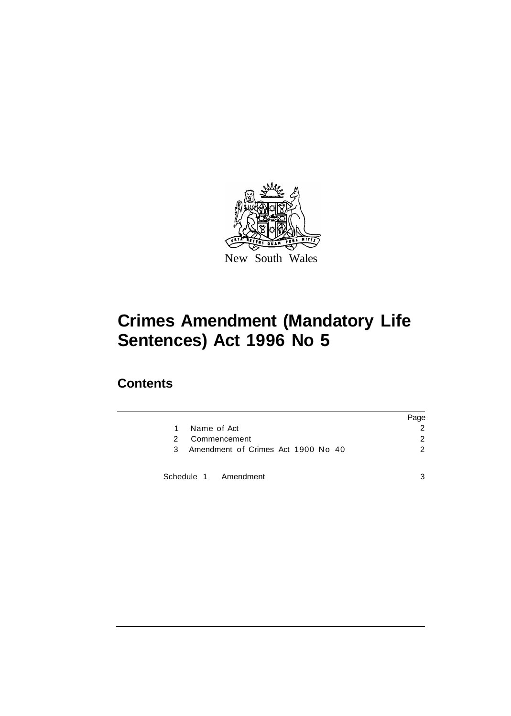

### **Contents**

|                                         | Page          |
|-----------------------------------------|---------------|
| Name of Act<br>1                        |               |
| Commencement<br>2                       | 2             |
| Amendment of Crimes Act 1900 No 40<br>3 | $\mathcal{P}$ |
| Schedule 1 Amendment                    | 3             |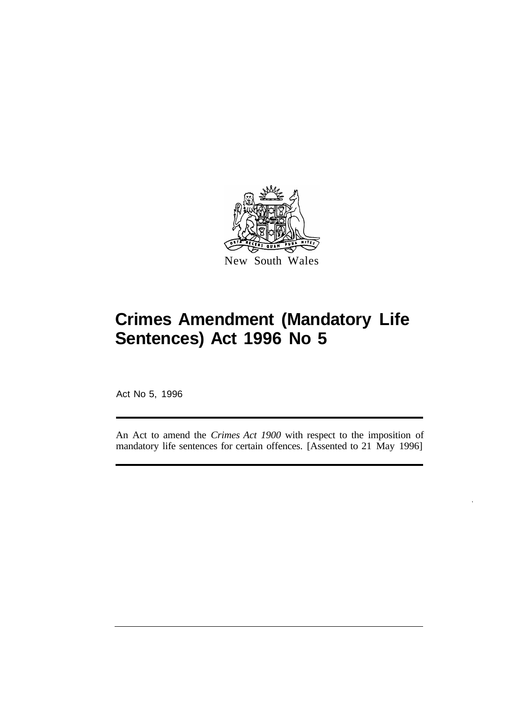

New South Wales

Act No 5, 1996

An Act to amend the *Crimes Act 1900* with respect to the imposition of mandatory life sentences for certain offences. [Assented to 21 May 1996]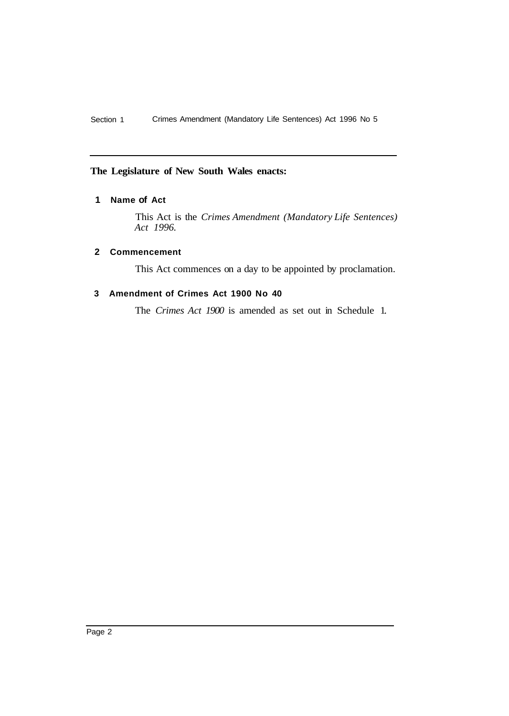#### **The Legislature of New South Wales enacts:**

#### **1 Name of Act**

This Act is the *Crimes Amendment (Mandatory Life Sentences) Act 1996.* 

#### **2 Commencement**

This Act commences on a day to be appointed by proclamation.

#### **3 Amendment of Crimes Act 1900 No 40**

The *Crimes Act 1900* is amended as set out in Schedule 1.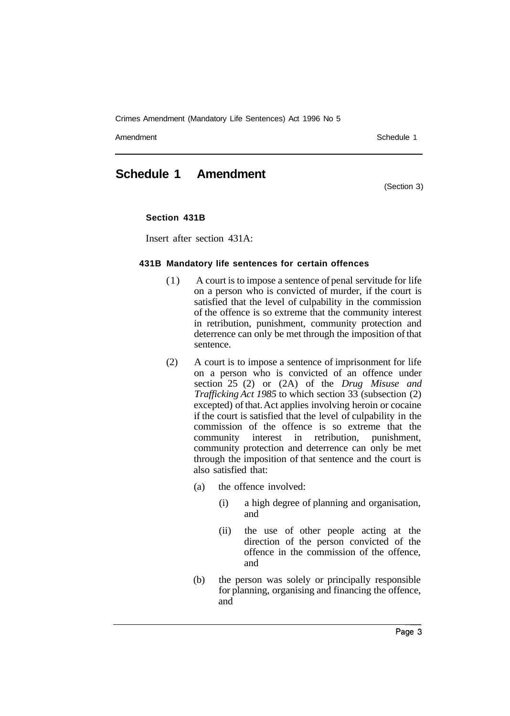Amendment Schedule 1 and Schedule 1 and Schedule 1 and Schedule 1 and Schedule 1 and Schedule 1 and Schedule 1

### **Schedule 1 Amendment**

(Section 3)

#### **Section 431B**

Insert after section 431A:

#### **431B Mandatory life sentences for certain offences**

- ( 1 ) A court is to impose a sentence of penal servitude for life on a person who is convicted of murder, if the court is satisfied that the level of culpability in the commission of the offence is so extreme that the community interest in retribution, punishment, community protection and deterrence can only be met through the imposition of that sentence.
- (2) A court is to impose a sentence of imprisonment for life on a person who is convicted of an offence under section 25 (2) or (2A) of the *Drug Misuse and Trafficking Act 1985* to which section 33 (subsection (2) excepted) of that. Act applies involving heroin or cocaine if the court is satisfied that the level of culpability in the commission of the offence is so extreme that the community interest in retribution, punishment, community protection and deterrence can only be met through the imposition of that sentence and the court is also satisfied that:
	- (a) the offence involved:
		- (i) a high degree of planning and organisation, and
		- (ii) the use of other people acting at the direction of the person convicted of the offence in the commission of the offence, and
	- (b) the person was solely or principally responsible for planning, organising and financing the offence, and